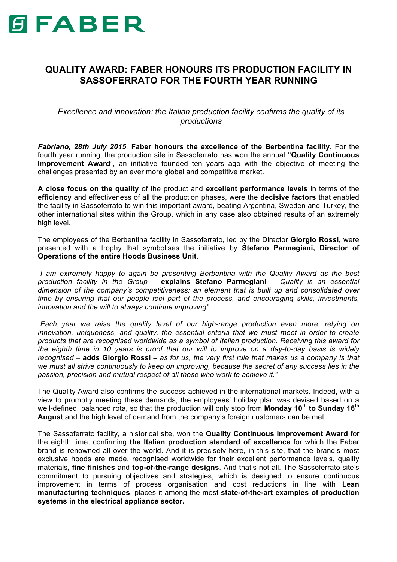

## **QUALITY AWARD: FABER HONOURS ITS PRODUCTION FACILITY IN SASSOFERRATO FOR THE FOURTH YEAR RUNNING**

*Excellence and innovation: the Italian production facility confirms the quality of its productions*

*Fabriano, 28th July 2015.* **Faber honours the excellence of the Berbentina facility.** For the fourth year running, the production site in Sassoferrato has won the annual **"Quality Continuous Improvement Award**", an initiative founded ten years ago with the objective of meeting the challenges presented by an ever more global and competitive market.

**A close focus on the quality** of the product and **excellent performance levels** in terms of the **efficiency** and effectiveness of all the production phases, were the **decisive factors** that enabled the facility in Sassoferrato to win this important award, beating Argentina, Sweden and Turkey, the other international sites within the Group, which in any case also obtained results of an extremely high level.

The employees of the Berbentina facility in Sassoferrato, led by the Director **Giorgio Rossi,** were presented with a trophy that symbolises the initiative by **Stefano Parmegiani, Director of Operations of the entire Hoods Business Unit**.

*"I am extremely happy to again be presenting Berbentina with the Quality Award as the best production facility in the Group –* **explains Stefano Parmegiani** *– Quality is an essential dimension of the company's competitiveness: an element that is built up and consolidated over time by ensuring that our people feel part of the process, and encouraging skills, investments, innovation and the will to always continue improving".*

*"Each year we raise the quality level of our high-range production even more, relying on innovation, uniqueness, and quality, the essential criteria that we must meet in order to create products that are recognised worldwide as a symbol of Italian production. Receiving this award for the eighth time in 10 years is proof that our will to improve on a day-to-day basis is widely recognised* – **adds Giorgio Rossi** – *as for us, the very first rule that makes us a company is that we must all strive continuously to keep on improving, because the secret of any success lies in the passion, precision and mutual respect of all those who work to achieve it."*

The Quality Award also confirms the success achieved in the international markets. Indeed, with a view to promptly meeting these demands, the employees' holiday plan was devised based on a well-defined, balanced rota, so that the production will only stop from **Monday 10th to Sunday 16th August** and the high level of demand from the company's foreign customers can be met.

The Sassoferrato facility, a historical site, won the **Quality Continuous Improvement Award** for the eighth time, confirming **the Italian production standard of excellence** for which the Faber brand is renowned all over the world. And it is precisely here, in this site, that the brand's most exclusive hoods are made, recognised worldwide for their excellent performance levels, quality materials, **fine finishes** and **top-of-the-range designs**. And that's not all. The Sassoferrato site's commitment to pursuing objectives and strategies, which is designed to ensure continuous improvement in terms of process organisation and cost reductions in line with **Lean manufacturing techniques**, places it among the most **state-of-the-art examples of production systems in the electrical appliance sector.**